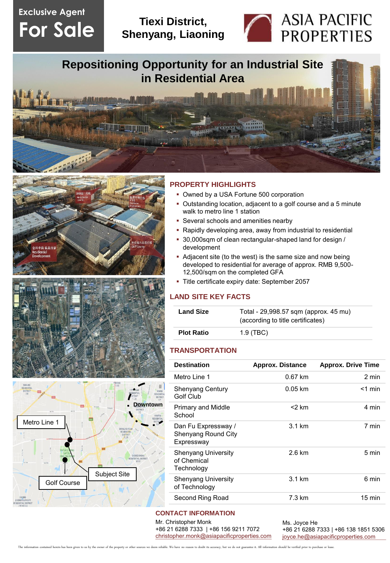# **Exclusive Agent For Sale**

# **Tiexi District, Shenyang, Liaoning**



**Repositioning Opportunity for an Industrial Site in Residential Area**







## **PROPERTY HIGHLIGHTS**

- Owned by a USA Fortune 500 corporation
- Outstanding location, adjacent to a golf course and a 5 minute walk to metro line 1 station
- Several schools and amenities nearby
- Rapidly developing area, away from industrial to residential
- 30,000sqm of clean rectangular-shaped land for design / development
- Adjacent site (to the west) is the same size and now being developed to residential for average of approx. RMB 9,500- 12,500/sqm on the completed GFA
- Title certificate expiry date: September 2057

### **LAND SITE KEY FACTS**

| <b>Land Size</b>  | Total - 29,998.57 sqm (approx. 45 mu)<br>(according to title certificates) |
|-------------------|----------------------------------------------------------------------------|
| <b>Plot Ratio</b> | $1.9$ (TBC)                                                                |

#### **TRANSPORTATION**

| <b>Destination</b>                                       | <b>Approx. Distance</b> | <b>Approx. Drive Time</b> |
|----------------------------------------------------------|-------------------------|---------------------------|
| Metro Line 1                                             | $0.67$ km               | 2 min                     |
| <b>Shenyang Century</b><br>Golf Club                     | $0.05$ km               | $<$ 1 min                 |
| <b>Primary and Middle</b><br>School                      | <2 km                   | 4 min                     |
| Dan Fu Expressway /<br>Shenyang Round City<br>Expressway | $3.1 \text{ km}$        | 7 min                     |
| <b>Shenyang University</b><br>of Chemical<br>Technology  | $2.6 \text{ km}$        | 5 min                     |
| Shenyang University<br>of Technology                     | $3.1 \text{ km}$        | 6 min                     |
| Second Ring Road                                         | 7.3 km                  | $15 \text{ min}$          |
|                                                          |                         |                           |

### **CONTACT INFORMATION**

Mr. Christopher Monk +86 21 6288 7333 | +86 156 9211 7072 [christopher.monk@asiapacificproperties.com](mailto:christopher.monk@asiapacificproperties.com) Ms. Joyce He +86 21 6288 7333 | +86 138 1851 5306 [joyce.he@asiapacificproperties.com](mailto:joyce.he@asiapacificproperties.com)

ed herein has been given to us by the owner of the property or other sources we deem reliable. We have no reason to doubt its accuracy, but we do not guarantee it. All information should be verified prior to purchase or le